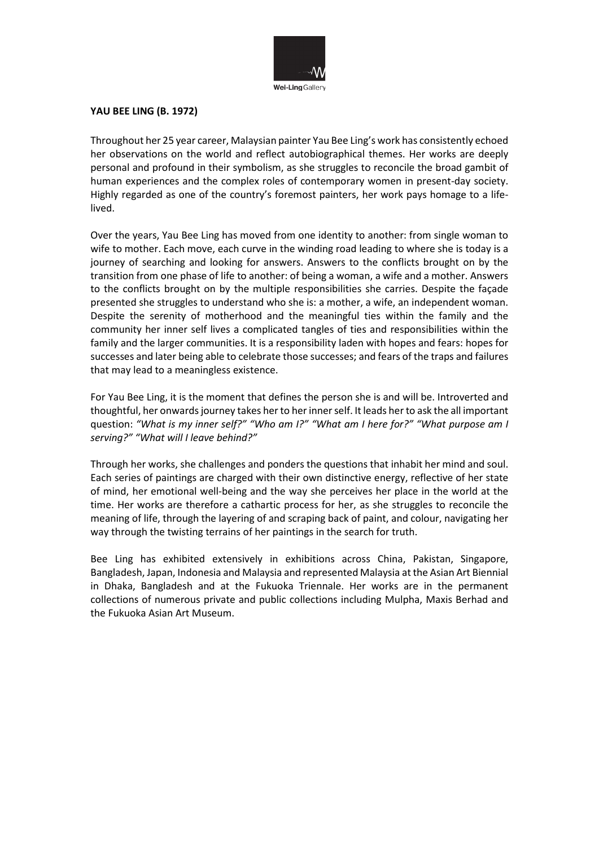

## **YAU BEE LING (B. 1972)**

Throughout her 25 year career, Malaysian painter Yau Bee Ling's work has consistently echoed her observations on the world and reflect autobiographical themes. Her works are deeply personal and profound in their symbolism, as she struggles to reconcile the broad gambit of human experiences and the complex roles of contemporary women in present-day society. Highly regarded as one of the country's foremost painters, her work pays homage to a lifelived.

Over the years, Yau Bee Ling has moved from one identity to another: from single woman to wife to mother. Each move, each curve in the winding road leading to where she is today is a journey of searching and looking for answers. Answers to the conflicts brought on by the transition from one phase of life to another: of being a woman, a wife and a mother. Answers to the conflicts brought on by the multiple responsibilities she carries. Despite the façade presented she struggles to understand who she is: a mother, a wife, an independent woman. Despite the serenity of motherhood and the meaningful ties within the family and the community her inner self lives a complicated tangles of ties and responsibilities within the family and the larger communities. It is a responsibility laden with hopes and fears: hopes for successes and later being able to celebrate those successes; and fears of the traps and failures that may lead to a meaningless existence.

For Yau Bee Ling, it is the moment that defines the person she is and will be. Introverted and thoughtful, her onwards journey takes her to her inner self. It leads her to ask the all important question: *"What is my inner self?" "Who am I?" "What am I here for?" "What purpose am I serving?" "What will I leave behind?"*

Through her works, she challenges and ponders the questions that inhabit her mind and soul. Each series of paintings are charged with their own distinctive energy, reflective of her state of mind, her emotional well-being and the way she perceives her place in the world at the time. Her works are therefore a cathartic process for her, as she struggles to reconcile the meaning of life, through the layering of and scraping back of paint, and colour, navigating her way through the twisting terrains of her paintings in the search for truth.

Bee Ling has exhibited extensively in exhibitions across China, Pakistan, Singapore, Bangladesh, Japan, Indonesia and Malaysia and represented Malaysia at the Asian Art Biennial in Dhaka, Bangladesh and at the Fukuoka Triennale. Her works are in the permanent collections of numerous private and public collections including Mulpha, Maxis Berhad and the Fukuoka Asian Art Museum.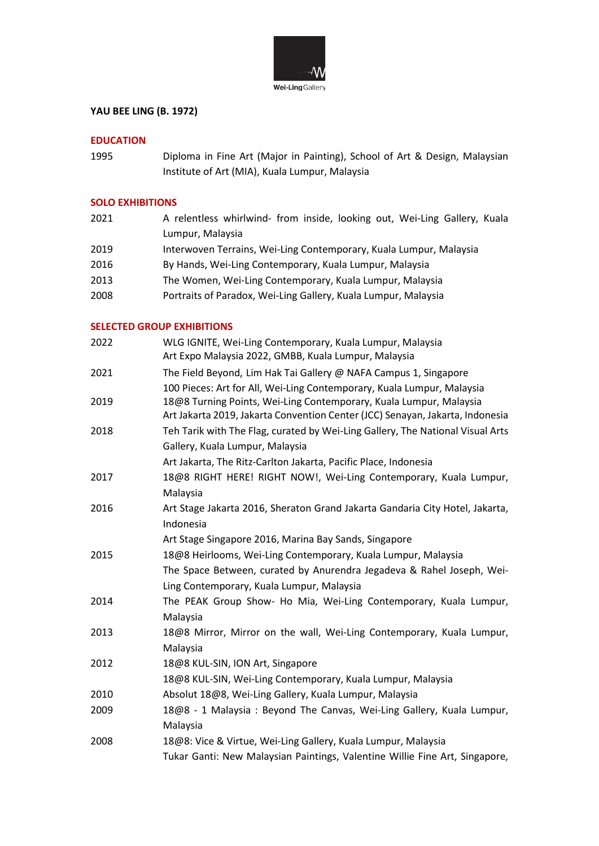

# **YAU BEE LING (B. 1972)**

## **EDUCATION**

1995 Diploma in Fine Art (Major in Painting), School of Art & Design, Malaysian Institute of Art (MIA), Kuala Lumpur, Malaysia

### **SOLO EXHIBITIONS**

| 2021 | A relentless whirlwind- from inside, looking out, Wei-Ling Gallery, Kuala |
|------|---------------------------------------------------------------------------|
|      | Lumpur, Malaysia                                                          |
| 2019 | Interwoven Terrains, Wei-Ling Contemporary, Kuala Lumpur, Malaysia        |
| 2016 | By Hands, Wei-Ling Contemporary, Kuala Lumpur, Malaysia                   |
| 2013 | The Women, Wei-Ling Contemporary, Kuala Lumpur, Malaysia                  |
| 2008 | Portraits of Paradox, Wei-Ling Gallery, Kuala Lumpur, Malaysia            |
|      |                                                                           |

#### **SELECTED GROUP EXHIBITIONS**

| 2022 | WLG IGNITE, Wei-Ling Contemporary, Kuala Lumpur, Malaysia<br>Art Expo Malaysia 2022, GMBB, Kuala Lumpur, Malaysia                                                                                                             |
|------|-------------------------------------------------------------------------------------------------------------------------------------------------------------------------------------------------------------------------------|
| 2021 | The Field Beyond, Lim Hak Tai Gallery @ NAFA Campus 1, Singapore                                                                                                                                                              |
| 2019 | 100 Pieces: Art for All, Wei-Ling Contemporary, Kuala Lumpur, Malaysia<br>18@8 Turning Points, Wei-Ling Contemporary, Kuala Lumpur, Malaysia<br>Art Jakarta 2019, Jakarta Convention Center (JCC) Senayan, Jakarta, Indonesia |
| 2018 | Teh Tarik with The Flag, curated by Wei-Ling Gallery, The National Visual Arts                                                                                                                                                |
|      | Gallery, Kuala Lumpur, Malaysia                                                                                                                                                                                               |
|      | Art Jakarta, The Ritz-Carlton Jakarta, Pacific Place, Indonesia                                                                                                                                                               |
| 2017 | 18@8 RIGHT HERE! RIGHT NOW!, Wei-Ling Contemporary, Kuala Lumpur,<br>Malaysia                                                                                                                                                 |
| 2016 | Art Stage Jakarta 2016, Sheraton Grand Jakarta Gandaria City Hotel, Jakarta,<br>Indonesia                                                                                                                                     |
|      | Art Stage Singapore 2016, Marina Bay Sands, Singapore                                                                                                                                                                         |
| 2015 | 18@8 Heirlooms, Wei-Ling Contemporary, Kuala Lumpur, Malaysia                                                                                                                                                                 |
|      | The Space Between, curated by Anurendra Jegadeva & Rahel Joseph, Wei-<br>Ling Contemporary, Kuala Lumpur, Malaysia                                                                                                            |
| 2014 | The PEAK Group Show- Ho Mia, Wei-Ling Contemporary, Kuala Lumpur,<br>Malaysia                                                                                                                                                 |
| 2013 | 18@8 Mirror, Mirror on the wall, Wei-Ling Contemporary, Kuala Lumpur,                                                                                                                                                         |
|      | Malaysia                                                                                                                                                                                                                      |
| 2012 | 18@8 KUL-SIN, ION Art, Singapore                                                                                                                                                                                              |
|      | 18@8 KUL-SIN, Wei-Ling Contemporary, Kuala Lumpur, Malaysia                                                                                                                                                                   |
| 2010 | Absolut 18@8, Wei-Ling Gallery, Kuala Lumpur, Malaysia                                                                                                                                                                        |
| 2009 | 18@8 - 1 Malaysia: Beyond The Canvas, Wei-Ling Gallery, Kuala Lumpur,<br>Malaysia                                                                                                                                             |
| 2008 | 18@8: Vice & Virtue, Wei-Ling Gallery, Kuala Lumpur, Malaysia                                                                                                                                                                 |
|      | Tukar Ganti: New Malaysian Paintings, Valentine Willie Fine Art, Singapore,                                                                                                                                                   |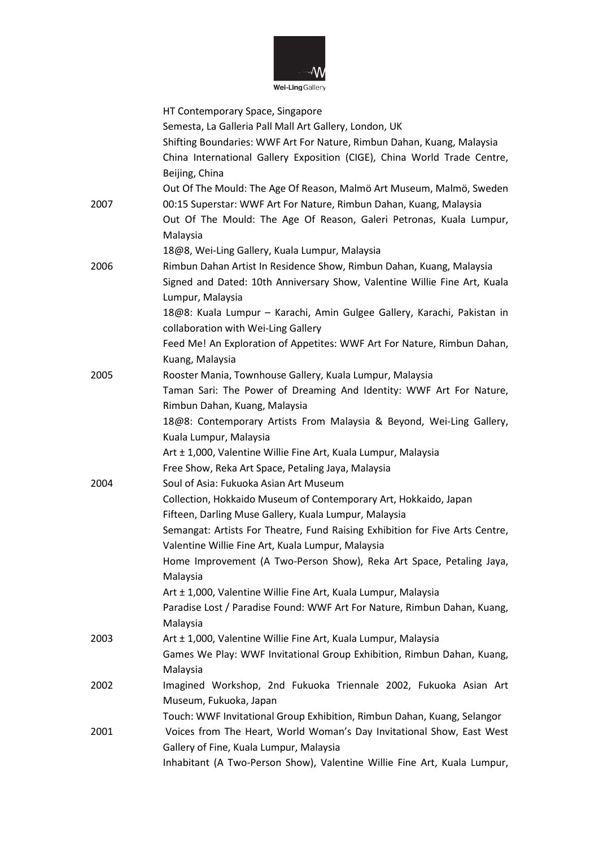

Wei-Ling Gallery

|      | HT Contemporary Space, Singapore                                             |
|------|------------------------------------------------------------------------------|
|      | Semesta, La Galleria Pall Mall Art Gallery, London, UK                       |
|      | Shifting Boundaries: WWF Art For Nature, Rimbun Dahan, Kuang, Malaysia       |
|      | China International Gallery Exposition (CIGE), China World Trade Centre,     |
|      | Beijing, China                                                               |
|      | Out Of The Mould: The Age Of Reason, Malmö Art Museum, Malmö, Sweden         |
| 2007 | 00:15 Superstar: WWF Art For Nature, Rimbun Dahan, Kuang, Malaysia           |
|      | Out Of The Mould: The Age Of Reason, Galeri Petronas, Kuala Lumpur,          |
|      | Malaysia                                                                     |
|      | 18@8, Wei-Ling Gallery, Kuala Lumpur, Malaysia                               |
| 2006 | Rimbun Dahan Artist In Residence Show, Rimbun Dahan, Kuang, Malaysia         |
|      | Signed and Dated: 10th Anniversary Show, Valentine Willie Fine Art, Kuala    |
|      | Lumpur, Malaysia                                                             |
|      | 18@8: Kuala Lumpur - Karachi, Amin Gulgee Gallery, Karachi, Pakistan in      |
|      | collaboration with Wei-Ling Gallery                                          |
|      | Feed Me! An Exploration of Appetites: WWF Art For Nature, Rimbun Dahan,      |
|      | Kuang, Malaysia                                                              |
| 2005 | Rooster Mania, Townhouse Gallery, Kuala Lumpur, Malaysia                     |
|      | Taman Sari: The Power of Dreaming And Identity: WWF Art For Nature,          |
|      | Rimbun Dahan, Kuang, Malaysia                                                |
|      | 18@8: Contemporary Artists From Malaysia & Beyond, Wei-Ling Gallery,         |
|      | Kuala Lumpur, Malaysia                                                       |
|      | Art ± 1,000, Valentine Willie Fine Art, Kuala Lumpur, Malaysia               |
|      | Free Show, Reka Art Space, Petaling Jaya, Malaysia                           |
| 2004 | Soul of Asia: Fukuoka Asian Art Museum                                       |
|      | Collection, Hokkaido Museum of Contemporary Art, Hokkaido, Japan             |
|      | Fifteen, Darling Muse Gallery, Kuala Lumpur, Malaysia                        |
|      | Semangat: Artists For Theatre, Fund Raising Exhibition for Five Arts Centre, |
|      | Valentine Willie Fine Art, Kuala Lumpur, Malaysia                            |
|      | Home Improvement (A Two-Person Show), Reka Art Space, Petaling Jaya,         |
|      | Malaysia                                                                     |
|      | Art ± 1,000, Valentine Willie Fine Art, Kuala Lumpur, Malaysia               |
|      | Paradise Lost / Paradise Found: WWF Art For Nature, Rimbun Dahan, Kuang,     |
|      | Malaysia                                                                     |
| 2003 | Art ± 1,000, Valentine Willie Fine Art, Kuala Lumpur, Malaysia               |
|      | Games We Play: WWF Invitational Group Exhibition, Rimbun Dahan, Kuang,       |
|      | Malaysia                                                                     |
| 2002 | Imagined Workshop, 2nd Fukuoka Triennale 2002, Fukuoka Asian Art             |
|      | Museum, Fukuoka, Japan                                                       |
|      | Touch: WWF Invitational Group Exhibition, Rimbun Dahan, Kuang, Selangor      |
| 2001 | Voices from The Heart, World Woman's Day Invitational Show, East West        |
|      | Gallery of Fine, Kuala Lumpur, Malaysia                                      |
|      | Inhabitant (A Two-Person Show), Valentine Willie Fine Art, Kuala Lumpur,     |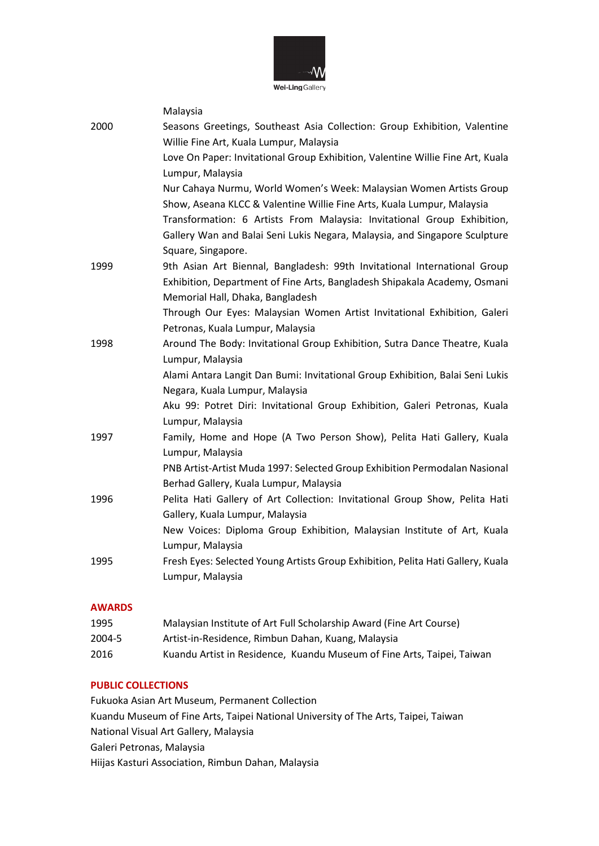

Malaysia 2000 Seasons Greetings, Southeast Asia Collection: Group Exhibition, Valentine Willie Fine Art, Kuala Lumpur, Malaysia Love On Paper: Invitational Group Exhibition, Valentine Willie Fine Art, Kuala Lumpur, Malaysia Nur Cahaya Nurmu, World Women's Week: Malaysian Women Artists Group Show, Aseana KLCC & Valentine Willie Fine Arts, Kuala Lumpur, Malaysia Transformation: 6 Artists From Malaysia: Invitational Group Exhibition, Gallery Wan and Balai Seni Lukis Negara, Malaysia, and Singapore Sculpture Square, Singapore. 1999 9th Asian Art Biennal, Bangladesh: 99th Invitational International Group Exhibition, Department of Fine Arts, Bangladesh Shipakala Academy, Osmani Memorial Hall, Dhaka, Bangladesh Through Our Eyes: Malaysian Women Artist Invitational Exhibition, Galeri Petronas, Kuala Lumpur, Malaysia 1998 Around The Body: Invitational Group Exhibition, Sutra Dance Theatre, Kuala Lumpur, Malaysia Alami Antara Langit Dan Bumi: Invitational Group Exhibition, Balai Seni Lukis Negara, Kuala Lumpur, Malaysia Aku 99: Potret Diri: Invitational Group Exhibition, Galeri Petronas, Kuala Lumpur, Malaysia 1997 Family, Home and Hope (A Two Person Show), Pelita Hati Gallery, Kuala Lumpur, Malaysia PNB Artist-Artist Muda 1997: Selected Group Exhibition Permodalan Nasional Berhad Gallery, Kuala Lumpur, Malaysia 1996 Pelita Hati Gallery of Art Collection: Invitational Group Show, Pelita Hati Gallery, Kuala Lumpur, Malaysia New Voices: Diploma Group Exhibition, Malaysian Institute of Art, Kuala Lumpur, Malaysia 1995 Fresh Eyes: Selected Young Artists Group Exhibition, Pelita Hati Gallery, Kuala Lumpur, Malaysia

#### **AWARDS**

| 1995   | Malaysian Institute of Art Full Scholarship Award (Fine Art Course)    |
|--------|------------------------------------------------------------------------|
| 2004-5 | Artist-in-Residence, Rimbun Dahan, Kuang, Malaysia                     |
| 2016   | Kuandu Artist in Residence, Kuandu Museum of Fine Arts, Taipei, Taiwan |

#### **PUBLIC COLLECTIONS**

Fukuoka Asian Art Museum, Permanent Collection Kuandu Museum of Fine Arts, Taipei National University of The Arts, Taipei, Taiwan National Visual Art Gallery, Malaysia Galeri Petronas, Malaysia Hiijas Kasturi Association, Rimbun Dahan, Malaysia